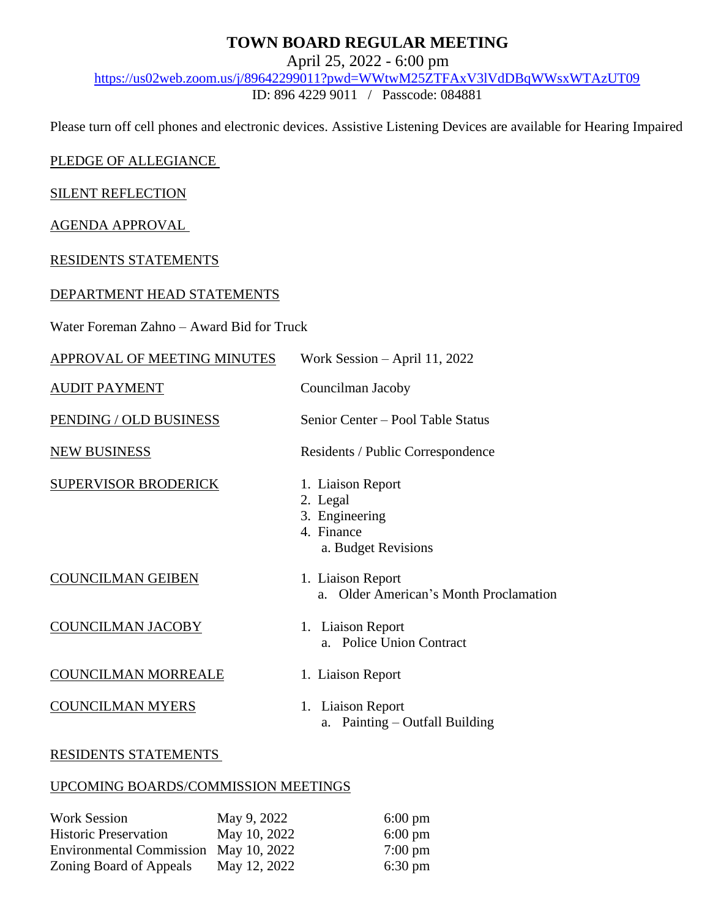# **TOWN BOARD REGULAR MEETING**

April 25, 2022 - 6:00 pm

<https://us02web.zoom.us/j/89642299011?pwd=WWtwM25ZTFAxV3lVdDBqWWsxWTAzUT09>

ID: 896 4229 9011 / Passcode: 084881

Please turn off cell phones and electronic devices. Assistive Listening Devices are available for Hearing Impaired

## PLEDGE OF ALLEGIANCE

### SILENT REFLECTION

#### AGENDA APPROVAL

## RESIDENTS STATEMENTS

#### DEPARTMENT HEAD STATEMENTS

#### Water Foreman Zahno – Award Bid for Truck

| APPROVAL OF MEETING MINUTES | Work Session – April 11, 2022                                                        |  |
|-----------------------------|--------------------------------------------------------------------------------------|--|
| <b>AUDIT PAYMENT</b>        | Councilman Jacoby                                                                    |  |
| PENDING / OLD BUSINESS      | Senior Center – Pool Table Status                                                    |  |
| <b>NEW BUSINESS</b>         | Residents / Public Correspondence                                                    |  |
| <b>SUPERVISOR BRODERICK</b> | 1. Liaison Report<br>2. Legal<br>3. Engineering<br>4. Finance<br>a. Budget Revisions |  |
| <b>COUNCILMAN GEIBEN</b>    | 1. Liaison Report<br><b>Older American's Month Proclamation</b><br>$a_{-}$           |  |
| COUNCILMAN JACOBY           | 1. Liaison Report<br>a. Police Union Contract                                        |  |
| COUNCILMAN MORREALE         | 1. Liaison Report                                                                    |  |
| <b>COUNCILMAN MYERS</b>     | 1. Liaison Report<br>a. Painting - Outfall Building                                  |  |
| RESIDENTS STATEMENTS        |                                                                                      |  |

## UPCOMING BOARDS/COMMISSION MEETINGS

| <b>Work Session</b>                   | May 9, 2022  | $6:00 \text{ pm}$ |
|---------------------------------------|--------------|-------------------|
| <b>Historic Preservation</b>          | May 10, 2022 | $6:00 \text{ pm}$ |
| Environmental Commission May 10, 2022 |              | $7:00 \text{ pm}$ |
| Zoning Board of Appeals               | May 12, 2022 | $6:30 \text{ pm}$ |